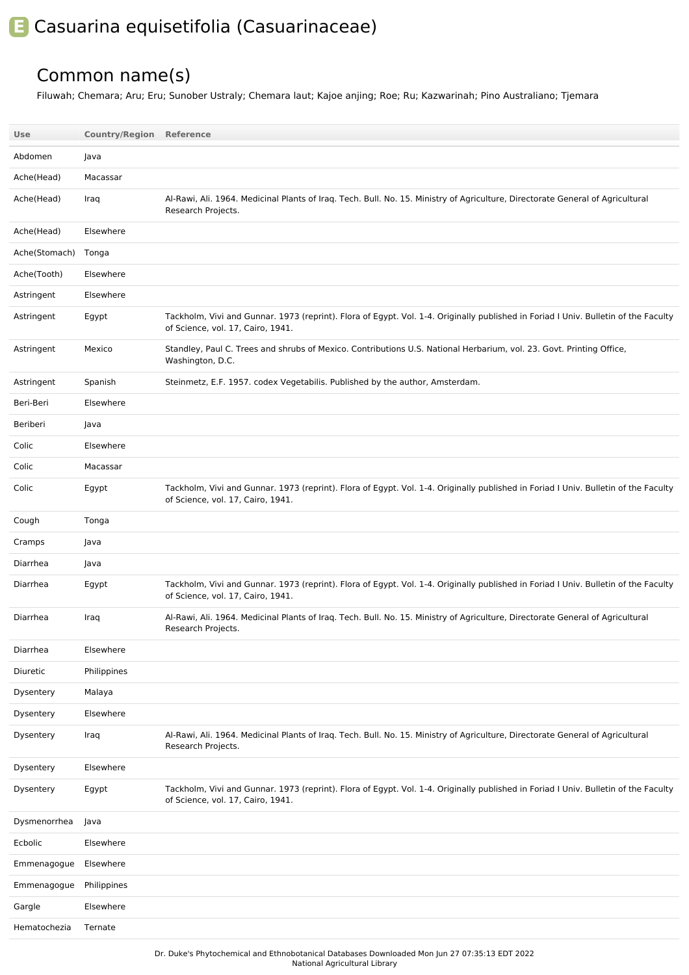## **E** Casuarina equisetifolia (Casuarinaceae)

## Common name(s)

Filuwah; Chemara; Aru; Eru; Sunober Ustraly; Chemara laut; Kajoe anjing; Roe; Ru; Kazwarinah; Pino Australiano; Tjemara

| <b>Use</b>          | <b>Country/Region Reference</b> |                                                                                                                                                                          |
|---------------------|---------------------------------|--------------------------------------------------------------------------------------------------------------------------------------------------------------------------|
| Abdomen             | Java                            |                                                                                                                                                                          |
| Ache(Head)          | Macassar                        |                                                                                                                                                                          |
| Ache(Head)          | Iraq                            | Al-Rawi, Ali. 1964. Medicinal Plants of Iraq. Tech. Bull. No. 15. Ministry of Agriculture, Directorate General of Agricultural<br>Research Projects.                     |
| Ache(Head)          | Elsewhere                       |                                                                                                                                                                          |
| Ache(Stomach) Tonga |                                 |                                                                                                                                                                          |
| Ache(Tooth)         | Elsewhere                       |                                                                                                                                                                          |
| Astringent          | Elsewhere                       |                                                                                                                                                                          |
| Astringent          | Egypt                           | Tackholm, Vivi and Gunnar. 1973 (reprint). Flora of Egypt. Vol. 1-4. Originally published in Foriad I Univ. Bulletin of the Faculty<br>of Science, vol. 17, Cairo, 1941. |
| Astringent          | Mexico                          | Standley, Paul C. Trees and shrubs of Mexico. Contributions U.S. National Herbarium, vol. 23. Govt. Printing Office,<br>Washington, D.C.                                 |
| Astringent          | Spanish                         | Steinmetz, E.F. 1957. codex Vegetabilis. Published by the author, Amsterdam.                                                                                             |
| Beri-Beri           | Elsewhere                       |                                                                                                                                                                          |
| Beriberi            | Java                            |                                                                                                                                                                          |
| Colic               | Elsewhere                       |                                                                                                                                                                          |
| Colic               | Macassar                        |                                                                                                                                                                          |
| Colic               | Egypt                           | Tackholm, Vivi and Gunnar. 1973 (reprint). Flora of Egypt. Vol. 1-4. Originally published in Foriad I Univ. Bulletin of the Faculty<br>of Science, vol. 17, Cairo, 1941. |
| Cough               | Tonga                           |                                                                                                                                                                          |
| Cramps              | Java                            |                                                                                                                                                                          |
| Diarrhea            | Java                            |                                                                                                                                                                          |
| Diarrhea            | Egypt                           | Tackholm, Vivi and Gunnar. 1973 (reprint). Flora of Egypt. Vol. 1-4. Originally published in Foriad I Univ. Bulletin of the Faculty<br>of Science, vol. 17, Cairo, 1941. |
| Diarrhea            | Iraq                            | Al-Rawi, Ali. 1964. Medicinal Plants of Iraq. Tech. Bull. No. 15. Ministry of Agriculture, Directorate General of Agricultural<br>Research Projects.                     |
| Diarrhea            | Elsewhere                       |                                                                                                                                                                          |
| Diuretic            | Philippines                     |                                                                                                                                                                          |
| Dysentery           | Malaya                          |                                                                                                                                                                          |
| Dysentery           | Elsewhere                       |                                                                                                                                                                          |
| Dysentery           | Iraq                            | Al-Rawi, Ali. 1964. Medicinal Plants of Iraq. Tech. Bull. No. 15. Ministry of Agriculture, Directorate General of Agricultural<br>Research Projects.                     |
| Dysentery           | Elsewhere                       |                                                                                                                                                                          |
| Dysentery           | Egypt                           | Tackholm, Vivi and Gunnar. 1973 (reprint). Flora of Egypt. Vol. 1-4. Originally published in Foriad I Univ. Bulletin of the Faculty<br>of Science, vol. 17, Cairo, 1941. |
| Dysmenorrhea        | Java                            |                                                                                                                                                                          |
| Ecbolic             | Elsewhere                       |                                                                                                                                                                          |
| Emmenagogue         | Elsewhere                       |                                                                                                                                                                          |
| Emmenagogue         | Philippines                     |                                                                                                                                                                          |
| Gargle              | Elsewhere                       |                                                                                                                                                                          |
| Hematochezia        | Ternate                         |                                                                                                                                                                          |